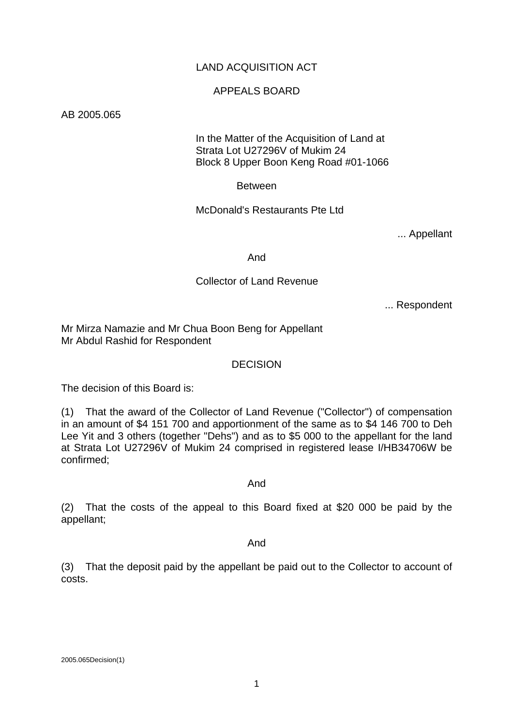## LAND ACQUISITION ACT

## APPEALS BOARD

AB 2005.065

 In the Matter of the Acquisition of Land at Strata Lot U27296V of Mukim 24 Block 8 Upper Boon Keng Road #01-1066

Between

McDonald's Restaurants Pte Ltd

... Appellant

And

## Collector of Land Revenue

... Respondent

Mr Mirza Namazie and Mr Chua Boon Beng for Appellant Mr Abdul Rashid for Respondent

### DECISION

The decision of this Board is:

(1) That the award of the Collector of Land Revenue ("Collector") of compensation in an amount of \$4 151 700 and apportionment of the same as to \$4 146 700 to Deh Lee Yit and 3 others (together "Dehs") and as to \$5 000 to the appellant for the land at Strata Lot U27296V of Mukim 24 comprised in registered lease I/HB34706W be confirmed;

And

(2) That the costs of the appeal to this Board fixed at \$20 000 be paid by the appellant;

And

(3) That the deposit paid by the appellant be paid out to the Collector to account of costs.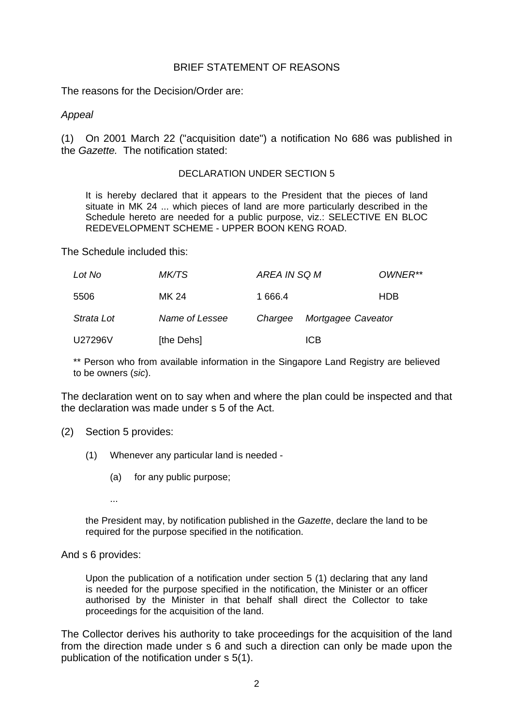## BRIEF STATEMENT OF REASONS

The reasons for the Decision/Order are:

## *Appeal*

(1) On 2001 March 22 ("acquisition date") a notification No 686 was published in the *Gazette.* The notification stated:

#### DECLARATION UNDER SECTION 5

It is hereby declared that it appears to the President that the pieces of land situate in MK 24 ... which pieces of land are more particularly described in the Schedule hereto are needed for a public purpose, viz.: SELECTIVE EN BLOC REDEVELOPMENT SCHEME - UPPER BOON KENG ROAD.

The Schedule included this:

| Lot No     | MK/TS          | AREA IN SQ M |                    | OWNER**    |
|------------|----------------|--------------|--------------------|------------|
| 5506       | MK 24          | 1 666.4      |                    | <b>HDB</b> |
| Strata Lot | Name of Lessee | Chargee      | Mortgagee Caveator |            |
| U27296V    | [the Dehs]     |              | <b>ICB</b>         |            |

\*\* Person who from available information in the Singapore Land Registry are believed to be owners (*sic*).

The declaration went on to say when and where the plan could be inspected and that the declaration was made under s 5 of the Act.

- (2) Section 5 provides:
	- (1) Whenever any particular land is needed
		- (a) for any public purpose;
		- ...

the President may, by notification published in the *Gazette*, declare the land to be required for the purpose specified in the notification.

#### And s 6 provides:

Upon the publication of a notification under section 5 (1) declaring that any land is needed for the purpose specified in the notification, the Minister or an officer authorised by the Minister in that behalf shall direct the Collector to take proceedings for the acquisition of the land.

The Collector derives his authority to take proceedings for the acquisition of the land from the direction made under s 6 and such a direction can only be made upon the publication of the notification under s 5(1).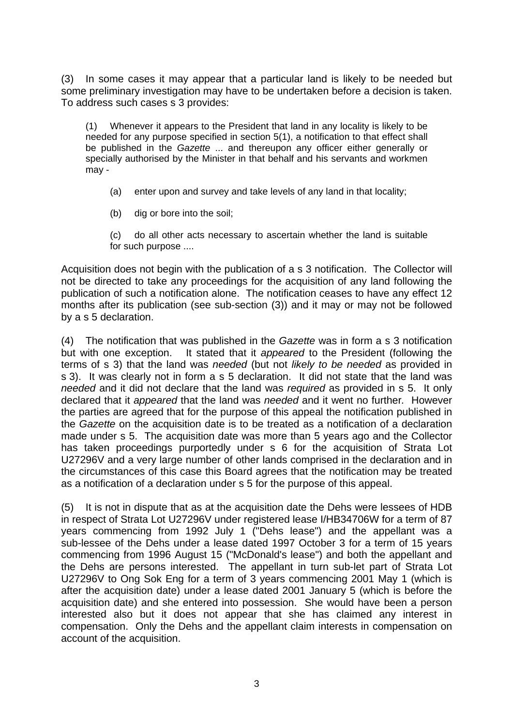(3) In some cases it may appear that a particular land is likely to be needed but some preliminary investigation may have to be undertaken before a decision is taken. To address such cases s 3 provides:

(1) Whenever it appears to the President that land in any locality is likely to be needed for any purpose specified in section 5(1), a notification to that effect shall be published in the *Gazette* ... and thereupon any officer either generally or specially authorised by the Minister in that behalf and his servants and workmen may -

- (a) enter upon and survey and take levels of any land in that locality;
- (b) dig or bore into the soil;
- (c) do all other acts necessary to ascertain whether the land is suitable for such purpose ....

Acquisition does not begin with the publication of a s 3 notification. The Collector will not be directed to take any proceedings for the acquisition of any land following the publication of such a notification alone. The notification ceases to have any effect 12 months after its publication (see sub-section (3)) and it may or may not be followed by a s 5 declaration.

(4) The notification that was published in the *Gazette* was in form a s 3 notification but with one exception. It stated that it *appeared* to the President (following the terms of s 3) that the land was *needed* (but not *likely to be needed* as provided in s 3). It was clearly not in form a s 5 declaration. It did not state that the land was *needed* and it did not declare that the land was *required* as provided in s 5. It only declared that it *appeared* that the land was *needed* and it went no further*.* However the parties are agreed that for the purpose of this appeal the notification published in the *Gazette* on the acquisition date is to be treated as a notification of a declaration made under s 5. The acquisition date was more than 5 years ago and the Collector has taken proceedings purportedly under s 6 for the acquisition of Strata Lot U27296V and a very large number of other lands comprised in the declaration and in the circumstances of this case this Board agrees that the notification may be treated as a notification of a declaration under s 5 for the purpose of this appeal.

(5) It is not in dispute that as at the acquisition date the Dehs were lessees of HDB in respect of Strata Lot U27296V under registered lease I/HB34706W for a term of 87 years commencing from 1992 July 1 ("Dehs lease") and the appellant was a sub-lessee of the Dehs under a lease dated 1997 October 3 for a term of 15 years commencing from 1996 August 15 ("McDonald's lease") and both the appellant and the Dehs are persons interested. The appellant in turn sub-let part of Strata Lot U27296V to Ong Sok Eng for a term of 3 years commencing 2001 May 1 (which is after the acquisition date) under a lease dated 2001 January 5 (which is before the acquisition date) and she entered into possession. She would have been a person interested also but it does not appear that she has claimed any interest in compensation. Only the Dehs and the appellant claim interests in compensation on account of the acquisition.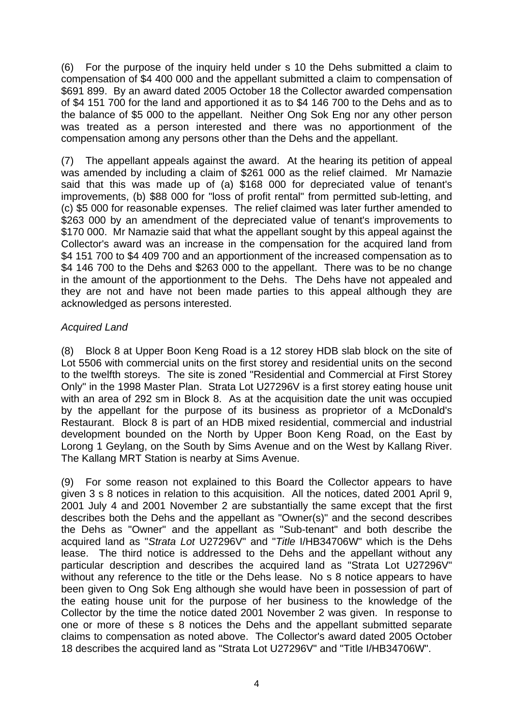(6) For the purpose of the inquiry held under s 10 the Dehs submitted a claim to compensation of \$4 400 000 and the appellant submitted a claim to compensation of \$691 899. By an award dated 2005 October 18 the Collector awarded compensation of \$4 151 700 for the land and apportioned it as to \$4 146 700 to the Dehs and as to the balance of \$5 000 to the appellant. Neither Ong Sok Eng nor any other person was treated as a person interested and there was no apportionment of the compensation among any persons other than the Dehs and the appellant.

(7) The appellant appeals against the award. At the hearing its petition of appeal was amended by including a claim of \$261 000 as the relief claimed. Mr Namazie said that this was made up of (a) \$168 000 for depreciated value of tenant's improvements, (b) \$88 000 for "loss of profit rental" from permitted sub-letting, and (c) \$5 000 for reasonable expenses. The relief claimed was later further amended to \$263 000 by an amendment of the depreciated value of tenant's improvements to \$170 000. Mr Namazie said that what the appellant sought by this appeal against the Collector's award was an increase in the compensation for the acquired land from \$4 151 700 to \$4 409 700 and an apportionment of the increased compensation as to \$4 146 700 to the Dehs and \$263 000 to the appellant. There was to be no change in the amount of the apportionment to the Dehs. The Dehs have not appealed and they are not and have not been made parties to this appeal although they are acknowledged as persons interested.

## *Acquired Land*

(8) Block 8 at Upper Boon Keng Road is a 12 storey HDB slab block on the site of Lot 5506 with commercial units on the first storey and residential units on the second to the twelfth storeys. The site is zoned "Residential and Commercial at First Storey Only" in the 1998 Master Plan. Strata Lot U27296V is a first storey eating house unit with an area of 292 sm in Block 8. As at the acquisition date the unit was occupied by the appellant for the purpose of its business as proprietor of a McDonald's Restaurant. Block 8 is part of an HDB mixed residential, commercial and industrial development bounded on the North by Upper Boon Keng Road, on the East by Lorong 1 Geylang, on the South by Sims Avenue and on the West by Kallang River. The Kallang MRT Station is nearby at Sims Avenue.

(9) For some reason not explained to this Board the Collector appears to have given 3 s 8 notices in relation to this acquisition. All the notices, dated 2001 April 9, 2001 July 4 and 2001 November 2 are substantially the same except that the first describes both the Dehs and the appellant as "Owner(s)" and the second describes the Dehs as "Owner" and the appellant as "Sub-tenant" and both describe the acquired land as "*Strata Lot* U27296V" and "*Title* I/HB34706W" which is the Dehs lease. The third notice is addressed to the Dehs and the appellant without any particular description and describes the acquired land as "Strata Lot U27296V" without any reference to the title or the Dehs lease. No s 8 notice appears to have been given to Ong Sok Eng although she would have been in possession of part of the eating house unit for the purpose of her business to the knowledge of the Collector by the time the notice dated 2001 November 2 was given. In response to one or more of these s 8 notices the Dehs and the appellant submitted separate claims to compensation as noted above. The Collector's award dated 2005 October 18 describes the acquired land as "Strata Lot U27296V" and "Title I/HB34706W".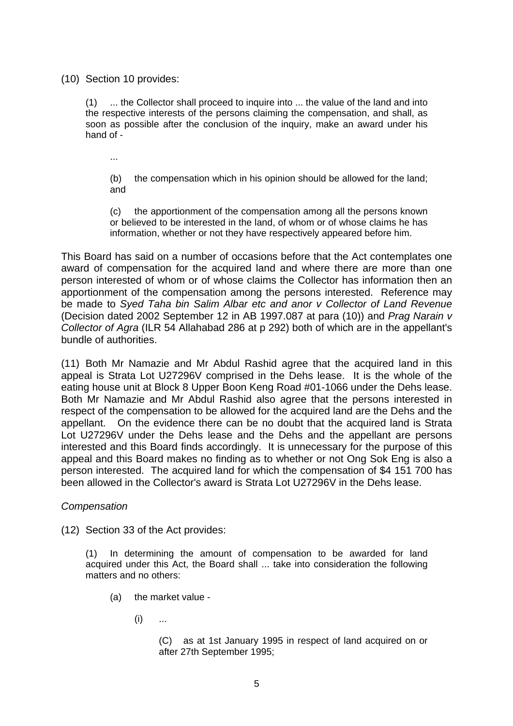(10) Section 10 provides:

(1) ... the Collector shall proceed to inquire into ... the value of the land and into the respective interests of the persons claiming the compensation, and shall, as soon as possible after the conclusion of the inquiry, make an award under his hand of -

...

(b) the compensation which in his opinion should be allowed for the land; and

(c) the apportionment of the compensation among all the persons known or believed to be interested in the land, of whom or of whose claims he has information, whether or not they have respectively appeared before him.

This Board has said on a number of occasions before that the Act contemplates one award of compensation for the acquired land and where there are more than one person interested of whom or of whose claims the Collector has information then an apportionment of the compensation among the persons interested. Reference may be made to *Syed Taha bin Salim Albar etc and anor v Collector of Land Revenue* (Decision dated 2002 September 12 in AB 1997.087 at para (10)) and *Prag Narain v Collector of Agra* (ILR 54 Allahabad 286 at p 292) both of which are in the appellant's bundle of authorities.

(11) Both Mr Namazie and Mr Abdul Rashid agree that the acquired land in this appeal is Strata Lot U27296V comprised in the Dehs lease. It is the whole of the eating house unit at Block 8 Upper Boon Keng Road #01-1066 under the Dehs lease. Both Mr Namazie and Mr Abdul Rashid also agree that the persons interested in respect of the compensation to be allowed for the acquired land are the Dehs and the appellant. On the evidence there can be no doubt that the acquired land is Strata Lot U27296V under the Dehs lease and the Dehs and the appellant are persons interested and this Board finds accordingly. It is unnecessary for the purpose of this appeal and this Board makes no finding as to whether or not Ong Sok Eng is also a person interested. The acquired land for which the compensation of \$4 151 700 has been allowed in the Collector's award is Strata Lot U27296V in the Dehs lease.

*Compensation*

(12) Section 33 of the Act provides:

(1) In determining the amount of compensation to be awarded for land acquired under this Act, the Board shall ... take into consideration the following matters and no others:

- (a) the market value
	- $(i)$  ...

(C) as at 1st January 1995 in respect of land acquired on or after 27th September 1995;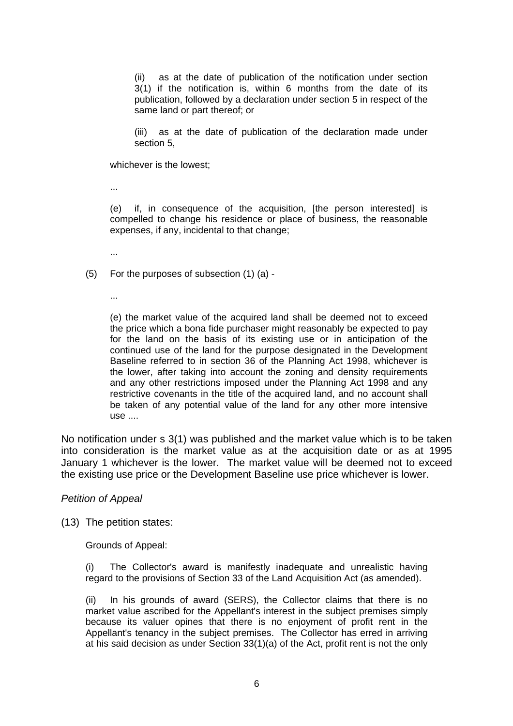(ii) as at the date of publication of the notification under section 3(1) if the notification is, within 6 months from the date of its publication, followed by a declaration under section 5 in respect of the same land or part thereof; or

(iii) as at the date of publication of the declaration made under section 5,

whichever is the lowest;

...

(e) if, in consequence of the acquisition, [the person interested] is compelled to change his residence or place of business, the reasonable expenses, if any, incidental to that change;

...

- (5) For the purposes of subsection (1) (a)
	- ...

(e) the market value of the acquired land shall be deemed not to exceed the price which a bona fide purchaser might reasonably be expected to pay for the land on the basis of its existing use or in anticipation of the continued use of the land for the purpose designated in the Development Baseline referred to in section 36 of the Planning Act 1998, whichever is the lower, after taking into account the zoning and density requirements and any other restrictions imposed under the Planning Act 1998 and any restrictive covenants in the title of the acquired land, and no account shall be taken of any potential value of the land for any other more intensive use ....

No notification under s 3(1) was published and the market value which is to be taken into consideration is the market value as at the acquisition date or as at 1995 January 1 whichever is the lower. The market value will be deemed not to exceed the existing use price or the Development Baseline use price whichever is lower.

#### *Petition of Appeal*

(13) The petition states:

Grounds of Appeal:

(i) The Collector's award is manifestly inadequate and unrealistic having regard to the provisions of Section 33 of the Land Acquisition Act (as amended).

(ii) In his grounds of award (SERS), the Collector claims that there is no market value ascribed for the Appellant's interest in the subject premises simply because its valuer opines that there is no enjoyment of profit rent in the Appellant's tenancy in the subject premises. The Collector has erred in arriving at his said decision as under Section 33(1)(a) of the Act, profit rent is not the only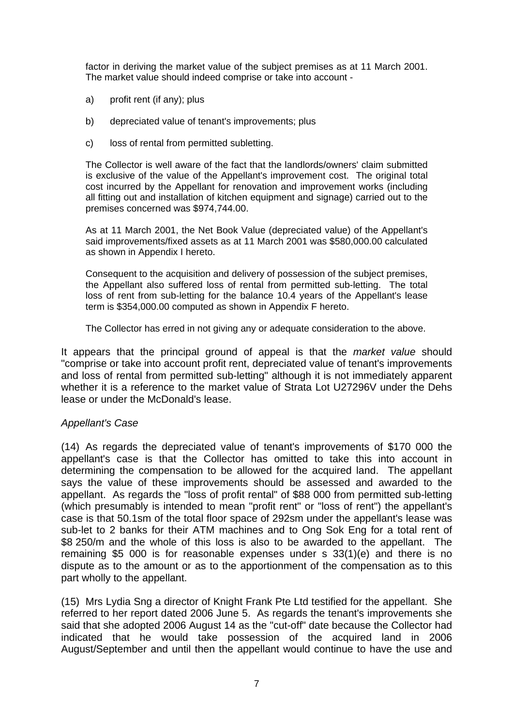factor in deriving the market value of the subject premises as at 11 March 2001. The market value should indeed comprise or take into account -

- a) profit rent (if any); plus
- b) depreciated value of tenant's improvements; plus
- c) loss of rental from permitted subletting.

The Collector is well aware of the fact that the landlords/owners' claim submitted is exclusive of the value of the Appellant's improvement cost. The original total cost incurred by the Appellant for renovation and improvement works (including all fitting out and installation of kitchen equipment and signage) carried out to the premises concerned was \$974,744.00.

As at 11 March 2001, the Net Book Value (depreciated value) of the Appellant's said improvements/fixed assets as at 11 March 2001 was \$580,000.00 calculated as shown in Appendix I hereto.

Consequent to the acquisition and delivery of possession of the subject premises, the Appellant also suffered loss of rental from permitted sub-letting. The total loss of rent from sub-letting for the balance 10.4 years of the Appellant's lease term is \$354,000.00 computed as shown in Appendix F hereto.

The Collector has erred in not giving any or adequate consideration to the above.

It appears that the principal ground of appeal is that the *market value* should "comprise or take into account profit rent, depreciated value of tenant's improvements and loss of rental from permitted sub-letting" although it is not immediately apparent whether it is a reference to the market value of Strata Lot U27296V under the Dehs lease or under the McDonald's lease.

## *Appellant's Case*

(14) As regards the depreciated value of tenant's improvements of \$170 000 the appellant's case is that the Collector has omitted to take this into account in determining the compensation to be allowed for the acquired land. The appellant says the value of these improvements should be assessed and awarded to the appellant. As regards the "loss of profit rental" of \$88 000 from permitted sub-letting (which presumably is intended to mean "profit rent" or "loss of rent") the appellant's case is that 50.1sm of the total floor space of 292sm under the appellant's lease was sub-let to 2 banks for their ATM machines and to Ong Sok Eng for a total rent of \$8 250/m and the whole of this loss is also to be awarded to the appellant. The remaining \$5 000 is for reasonable expenses under s 33(1)(e) and there is no dispute as to the amount or as to the apportionment of the compensation as to this part wholly to the appellant.

(15) Mrs Lydia Sng a director of Knight Frank Pte Ltd testified for the appellant. She referred to her report dated 2006 June 5. As regards the tenant's improvements she said that she adopted 2006 August 14 as the "cut-off" date because the Collector had indicated that he would take possession of the acquired land in 2006 August/September and until then the appellant would continue to have the use and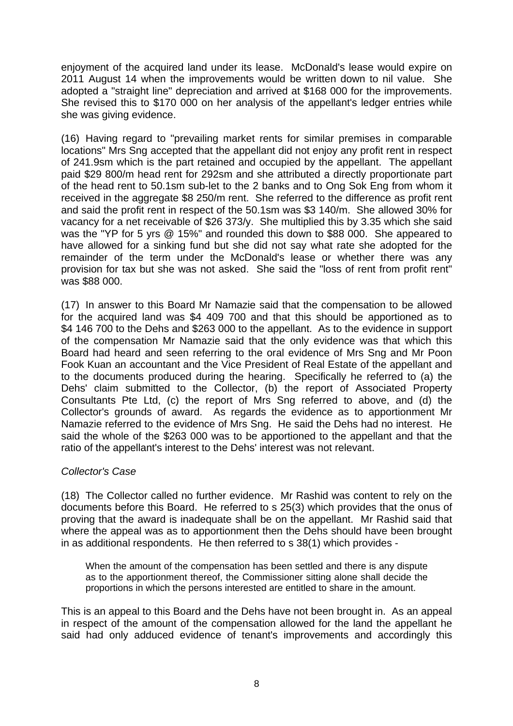enjoyment of the acquired land under its lease. McDonald's lease would expire on 2011 August 14 when the improvements would be written down to nil value. She adopted a "straight line" depreciation and arrived at \$168 000 for the improvements. She revised this to \$170 000 on her analysis of the appellant's ledger entries while she was giving evidence.

(16) Having regard to "prevailing market rents for similar premises in comparable locations" Mrs Sng accepted that the appellant did not enjoy any profit rent in respect of 241.9sm which is the part retained and occupied by the appellant. The appellant paid \$29 800/m head rent for 292sm and she attributed a directly proportionate part of the head rent to 50.1sm sub-let to the 2 banks and to Ong Sok Eng from whom it received in the aggregate \$8 250/m rent. She referred to the difference as profit rent and said the profit rent in respect of the 50.1sm was \$3 140/m. She allowed 30% for vacancy for a net receivable of \$26 373/y. She multiplied this by 3.35 which she said was the "YP for 5 yrs @ 15%" and rounded this down to \$88 000. She appeared to have allowed for a sinking fund but she did not say what rate she adopted for the remainder of the term under the McDonald's lease or whether there was any provision for tax but she was not asked. She said the "loss of rent from profit rent" was \$88 000.

(17) In answer to this Board Mr Namazie said that the compensation to be allowed for the acquired land was \$4 409 700 and that this should be apportioned as to \$4 146 700 to the Dehs and \$263 000 to the appellant. As to the evidence in support of the compensation Mr Namazie said that the only evidence was that which this Board had heard and seen referring to the oral evidence of Mrs Sng and Mr Poon Fook Kuan an accountant and the Vice President of Real Estate of the appellant and to the documents produced during the hearing. Specifically he referred to (a) the Dehs' claim submitted to the Collector, (b) the report of Associated Property Consultants Pte Ltd, (c) the report of Mrs Sng referred to above, and (d) the Collector's grounds of award. As regards the evidence as to apportionment Mr Namazie referred to the evidence of Mrs Sng. He said the Dehs had no interest. He said the whole of the \$263 000 was to be apportioned to the appellant and that the ratio of the appellant's interest to the Dehs' interest was not relevant.

## *Collector's Case*

(18) The Collector called no further evidence. Mr Rashid was content to rely on the documents before this Board. He referred to s 25(3) which provides that the onus of proving that the award is inadequate shall be on the appellant. Mr Rashid said that where the appeal was as to apportionment then the Dehs should have been brought in as additional respondents. He then referred to s 38(1) which provides -

When the amount of the compensation has been settled and there is any dispute as to the apportionment thereof, the Commissioner sitting alone shall decide the proportions in which the persons interested are entitled to share in the amount.

This is an appeal to this Board and the Dehs have not been brought in. As an appeal in respect of the amount of the compensation allowed for the land the appellant he said had only adduced evidence of tenant's improvements and accordingly this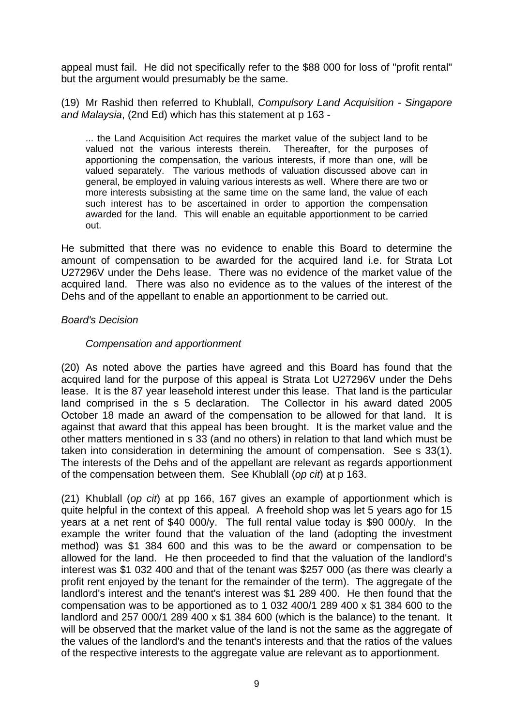appeal must fail. He did not specifically refer to the \$88 000 for loss of "profit rental" but the argument would presumably be the same.

(19) Mr Rashid then referred to Khublall, *Compulsory Land Acquisition - Singapore and Malaysia*, (2nd Ed) which has this statement at p 163 -

... the Land Acquisition Act requires the market value of the subject land to be valued not the various interests therein. Thereafter, for the purposes of apportioning the compensation, the various interests, if more than one, will be valued separately. The various methods of valuation discussed above can in general, be employed in valuing various interests as well. Where there are two or more interests subsisting at the same time on the same land, the value of each such interest has to be ascertained in order to apportion the compensation awarded for the land. This will enable an equitable apportionment to be carried out.

He submitted that there was no evidence to enable this Board to determine the amount of compensation to be awarded for the acquired land i.e. for Strata Lot U27296V under the Dehs lease. There was no evidence of the market value of the acquired land. There was also no evidence as to the values of the interest of the Dehs and of the appellant to enable an apportionment to be carried out.

## *Board's Decision*

## *Compensation and apportionment*

(20) As noted above the parties have agreed and this Board has found that the acquired land for the purpose of this appeal is Strata Lot U27296V under the Dehs lease. It is the 87 year leasehold interest under this lease. That land is the particular land comprised in the s 5 declaration. The Collector in his award dated 2005 October 18 made an award of the compensation to be allowed for that land. It is against that award that this appeal has been brought. It is the market value and the other matters mentioned in s 33 (and no others) in relation to that land which must be taken into consideration in determining the amount of compensation. See s 33(1). The interests of the Dehs and of the appellant are relevant as regards apportionment of the compensation between them. See Khublall (*op cit*) at p 163.

(21) Khublall (*op cit*) at pp 166, 167 gives an example of apportionment which is quite helpful in the context of this appeal. A freehold shop was let 5 years ago for 15 years at a net rent of \$40 000/y. The full rental value today is \$90 000/y. In the example the writer found that the valuation of the land (adopting the investment method) was \$1 384 600 and this was to be the award or compensation to be allowed for the land. He then proceeded to find that the valuation of the landlord's interest was \$1 032 400 and that of the tenant was \$257 000 (as there was clearly a profit rent enjoyed by the tenant for the remainder of the term). The aggregate of the landlord's interest and the tenant's interest was \$1 289 400. He then found that the compensation was to be apportioned as to 1 032 400/1 289 400 x \$1 384 600 to the landlord and 257 000/1 289 400 x \$1 384 600 (which is the balance) to the tenant. It will be observed that the market value of the land is not the same as the aggregate of the values of the landlord's and the tenant's interests and that the ratios of the values of the respective interests to the aggregate value are relevant as to apportionment.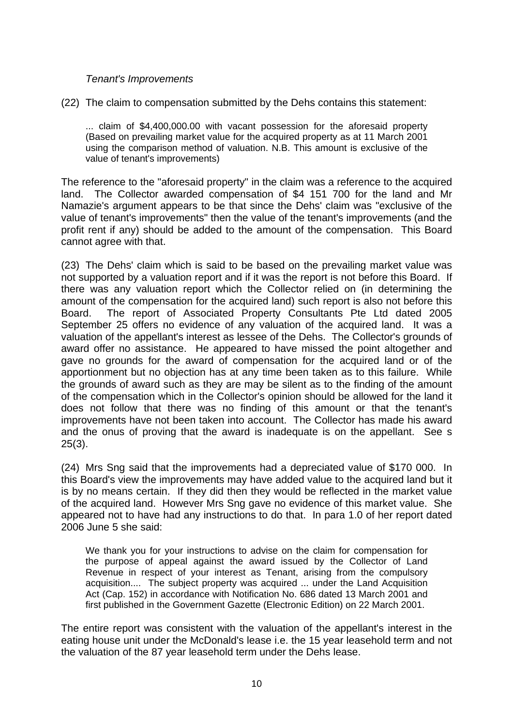## *Tenant's Improvements*

(22) The claim to compensation submitted by the Dehs contains this statement:

... claim of \$4,400,000.00 with vacant possession for the aforesaid property (Based on prevailing market value for the acquired property as at 11 March 2001 using the comparison method of valuation. N.B. This amount is exclusive of the value of tenant's improvements)

The reference to the "aforesaid property" in the claim was a reference to the acquired land. The Collector awarded compensation of \$4 151 700 for the land and Mr Namazie's argument appears to be that since the Dehs' claim was "exclusive of the value of tenant's improvements" then the value of the tenant's improvements (and the profit rent if any) should be added to the amount of the compensation. This Board cannot agree with that.

(23) The Dehs' claim which is said to be based on the prevailing market value was not supported by a valuation report and if it was the report is not before this Board. If there was any valuation report which the Collector relied on (in determining the amount of the compensation for the acquired land) such report is also not before this Board. The report of Associated Property Consultants Pte Ltd dated 2005 September 25 offers no evidence of any valuation of the acquired land. It was a valuation of the appellant's interest as lessee of the Dehs. The Collector's grounds of award offer no assistance. He appeared to have missed the point altogether and gave no grounds for the award of compensation for the acquired land or of the apportionment but no objection has at any time been taken as to this failure. While the grounds of award such as they are may be silent as to the finding of the amount of the compensation which in the Collector's opinion should be allowed for the land it does not follow that there was no finding of this amount or that the tenant's improvements have not been taken into account. The Collector has made his award and the onus of proving that the award is inadequate is on the appellant. See s 25(3).

(24) Mrs Sng said that the improvements had a depreciated value of \$170 000. In this Board's view the improvements may have added value to the acquired land but it is by no means certain. If they did then they would be reflected in the market value of the acquired land. However Mrs Sng gave no evidence of this market value. She appeared not to have had any instructions to do that. In para 1.0 of her report dated 2006 June 5 she said:

We thank you for your instructions to advise on the claim for compensation for the purpose of appeal against the award issued by the Collector of Land Revenue in respect of your interest as Tenant, arising from the compulsory acquisition.... The subject property was acquired ... under the Land Acquisition Act (Cap. 152) in accordance with Notification No. 686 dated 13 March 2001 and first published in the Government Gazette (Electronic Edition) on 22 March 2001.

The entire report was consistent with the valuation of the appellant's interest in the eating house unit under the McDonald's lease i.e. the 15 year leasehold term and not the valuation of the 87 year leasehold term under the Dehs lease.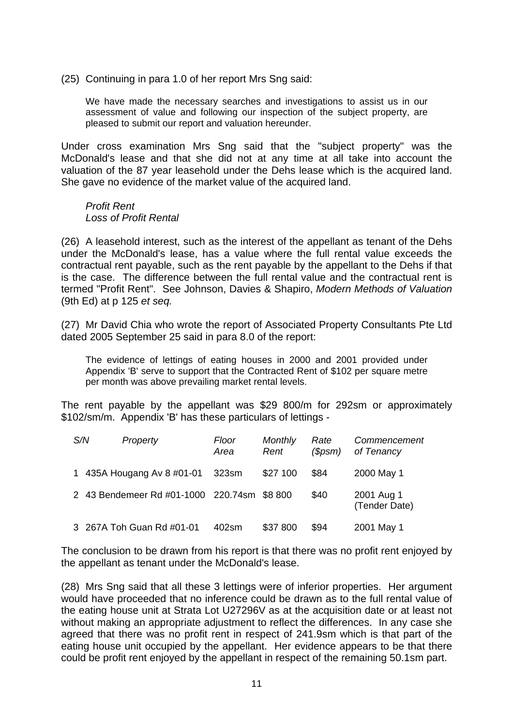(25) Continuing in para 1.0 of her report Mrs Sng said:

We have made the necessary searches and investigations to assist us in our assessment of value and following our inspection of the subject property, are pleased to submit our report and valuation hereunder.

Under cross examination Mrs Sng said that the "subject property" was the McDonald's lease and that she did not at any time at all take into account the valuation of the 87 year leasehold under the Dehs lease which is the acquired land. She gave no evidence of the market value of the acquired land.

## *Profit Rent Loss of Profit Rental*

(26) A leasehold interest, such as the interest of the appellant as tenant of the Dehs under the McDonald's lease, has a value where the full rental value exceeds the contractual rent payable, such as the rent payable by the appellant to the Dehs if that is the case. The difference between the full rental value and the contractual rent is termed "Profit Rent". See Johnson, Davies & Shapiro, *Modern Methods of Valuation* (9th Ed) at p 125 *et seq.*

(27) Mr David Chia who wrote the report of Associated Property Consultants Pte Ltd dated 2005 September 25 said in para 8.0 of the report:

The evidence of lettings of eating houses in 2000 and 2001 provided under Appendix 'B' serve to support that the Contracted Rent of \$102 per square metre per month was above prevailing market rental levels.

The rent payable by the appellant was \$29 800/m for 292sm or approximately \$102/sm/m. Appendix 'B' has these particulars of lettings -

| S/N | Property                                    | Floor<br>Area | Monthly<br>Rent | Rate<br>(Spsm) | Commencement<br>of Tenancy  |
|-----|---------------------------------------------|---------------|-----------------|----------------|-----------------------------|
|     | 1 435A Hougang Av 8 #01-01                  | 323sm         | \$27 100        | \$84           | 2000 May 1                  |
|     | 2 43 Bendemeer Rd #01-1000 220.74sm \$8 800 |               |                 | \$40           | 2001 Aug 1<br>(Tender Date) |
|     | 3 267A Toh Guan Rd #01-01                   | 402sm         | \$37 800        | \$94           | 2001 May 1                  |

The conclusion to be drawn from his report is that there was no profit rent enjoyed by the appellant as tenant under the McDonald's lease.

(28) Mrs Sng said that all these 3 lettings were of inferior properties. Her argument would have proceeded that no inference could be drawn as to the full rental value of the eating house unit at Strata Lot U27296V as at the acquisition date or at least not without making an appropriate adjustment to reflect the differences. In any case she agreed that there was no profit rent in respect of 241.9sm which is that part of the eating house unit occupied by the appellant. Her evidence appears to be that there could be profit rent enjoyed by the appellant in respect of the remaining 50.1sm part.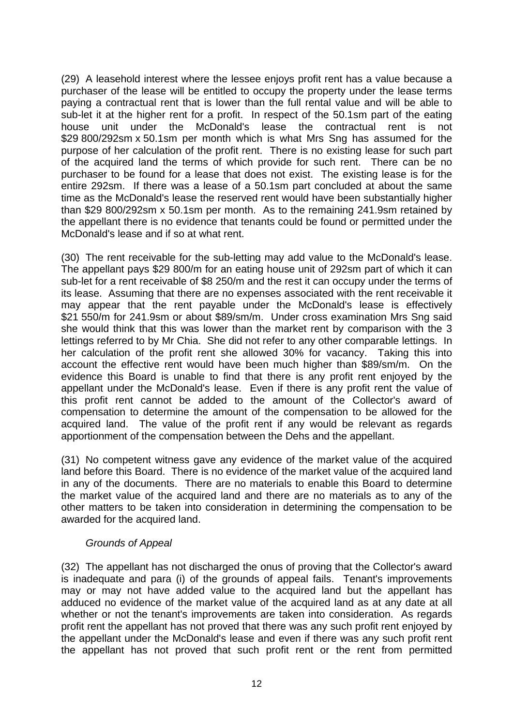(29) A leasehold interest where the lessee enjoys profit rent has a value because a purchaser of the lease will be entitled to occupy the property under the lease terms paying a contractual rent that is lower than the full rental value and will be able to sub-let it at the higher rent for a profit. In respect of the 50.1sm part of the eating house unit under the McDonald's lease the contractual rent is not \$29 800/292sm x 50.1sm per month which is what Mrs Sng has assumed for the purpose of her calculation of the profit rent. There is no existing lease for such part of the acquired land the terms of which provide for such rent. There can be no purchaser to be found for a lease that does not exist. The existing lease is for the entire 292sm. If there was a lease of a 50.1sm part concluded at about the same time as the McDonald's lease the reserved rent would have been substantially higher than \$29 800/292sm x 50.1sm per month. As to the remaining 241.9sm retained by the appellant there is no evidence that tenants could be found or permitted under the McDonald's lease and if so at what rent.

(30) The rent receivable for the sub-letting may add value to the McDonald's lease. The appellant pays \$29 800/m for an eating house unit of 292sm part of which it can sub-let for a rent receivable of \$8 250/m and the rest it can occupy under the terms of its lease. Assuming that there are no expenses associated with the rent receivable it may appear that the rent payable under the McDonald's lease is effectively \$21 550/m for 241.9sm or about \$89/sm/m. Under cross examination Mrs Sng said she would think that this was lower than the market rent by comparison with the 3 lettings referred to by Mr Chia. She did not refer to any other comparable lettings. In her calculation of the profit rent she allowed 30% for vacancy. Taking this into account the effective rent would have been much higher than \$89/sm/m. On the evidence this Board is unable to find that there is any profit rent enjoyed by the appellant under the McDonald's lease. Even if there is any profit rent the value of this profit rent cannot be added to the amount of the Collector's award of compensation to determine the amount of the compensation to be allowed for the acquired land. The value of the profit rent if any would be relevant as regards apportionment of the compensation between the Dehs and the appellant.

(31) No competent witness gave any evidence of the market value of the acquired land before this Board. There is no evidence of the market value of the acquired land in any of the documents. There are no materials to enable this Board to determine the market value of the acquired land and there are no materials as to any of the other matters to be taken into consideration in determining the compensation to be awarded for the acquired land.

# *Grounds of Appeal*

(32) The appellant has not discharged the onus of proving that the Collector's award is inadequate and para (i) of the grounds of appeal fails. Tenant's improvements may or may not have added value to the acquired land but the appellant has adduced no evidence of the market value of the acquired land as at any date at all whether or not the tenant's improvements are taken into consideration. As regards profit rent the appellant has not proved that there was any such profit rent enjoyed by the appellant under the McDonald's lease and even if there was any such profit rent the appellant has not proved that such profit rent or the rent from permitted